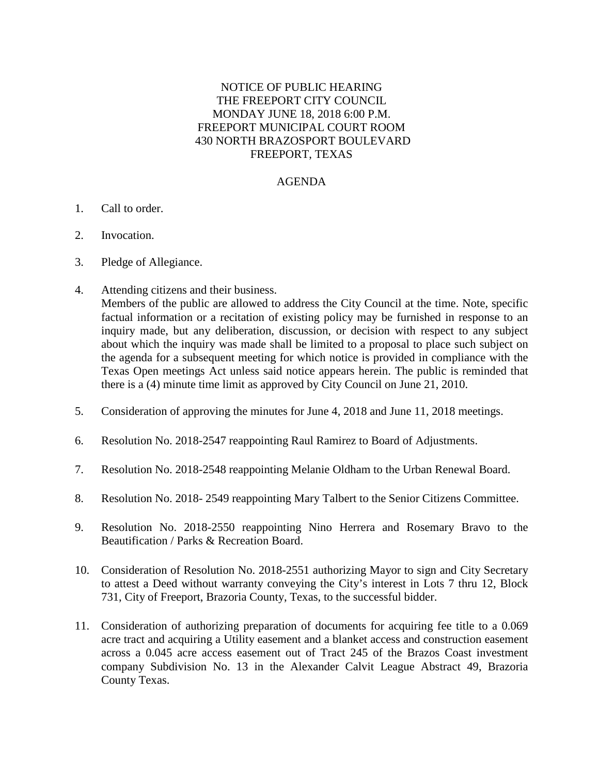## NOTICE OF PUBLIC HEARING THE FREEPORT CITY COUNCIL MONDAY JUNE 18, 2018 6:00 P.M. FREEPORT MUNICIPAL COURT ROOM 430 NORTH BRAZOSPORT BOULEVARD FREEPORT, TEXAS

## AGENDA

- 1. Call to order.
- 2. Invocation.
- 3. Pledge of Allegiance.
- 4. Attending citizens and their business.

Members of the public are allowed to address the City Council at the time. Note, specific factual information or a recitation of existing policy may be furnished in response to an inquiry made, but any deliberation, discussion, or decision with respect to any subject about which the inquiry was made shall be limited to a proposal to place such subject on the agenda for a subsequent meeting for which notice is provided in compliance with the Texas Open meetings Act unless said notice appears herein. The public is reminded that there is a (4) minute time limit as approved by City Council on June 21, 2010.

- 5. Consideration of approving the minutes for June 4, 2018 and June 11, 2018 meetings.
- 6. Resolution No. 2018-2547 reappointing Raul Ramirez to Board of Adjustments.
- 7. Resolution No. 2018-2548 reappointing Melanie Oldham to the Urban Renewal Board.
- 8. Resolution No. 2018- 2549 reappointing Mary Talbert to the Senior Citizens Committee.
- 9. Resolution No. 2018-2550 reappointing Nino Herrera and Rosemary Bravo to the Beautification / Parks & Recreation Board.
- 10. Consideration of Resolution No. 2018-2551 authorizing Mayor to sign and City Secretary to attest a Deed without warranty conveying the City's interest in Lots 7 thru 12, Block 731, City of Freeport, Brazoria County, Texas, to the successful bidder.
- 11. Consideration of authorizing preparation of documents for acquiring fee title to a 0.069 acre tract and acquiring a Utility easement and a blanket access and construction easement across a 0.045 acre access easement out of Tract 245 of the Brazos Coast investment company Subdivision No. 13 in the Alexander Calvit League Abstract 49, Brazoria County Texas.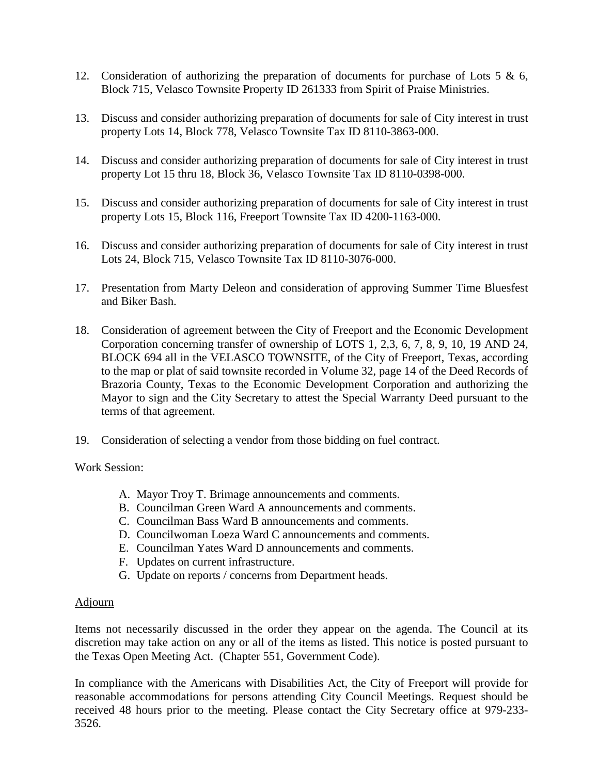- 12. Consideration of authorizing the preparation of documents for purchase of Lots 5  $\&$  6, Block 715, Velasco Townsite Property ID 261333 from Spirit of Praise Ministries.
- 13. Discuss and consider authorizing preparation of documents for sale of City interest in trust property Lots 14, Block 778, Velasco Townsite Tax ID 8110-3863-000.
- 14. Discuss and consider authorizing preparation of documents for sale of City interest in trust property Lot 15 thru 18, Block 36, Velasco Townsite Tax ID 8110-0398-000.
- 15. Discuss and consider authorizing preparation of documents for sale of City interest in trust property Lots 15, Block 116, Freeport Townsite Tax ID 4200-1163-000.
- 16. Discuss and consider authorizing preparation of documents for sale of City interest in trust Lots 24, Block 715, Velasco Townsite Tax ID 8110-3076-000.
- 17. Presentation from Marty Deleon and consideration of approving Summer Time Bluesfest and Biker Bash.
- 18. Consideration of agreement between the City of Freeport and the Economic Development Corporation concerning transfer of ownership of LOTS 1, 2,3, 6, 7, 8, 9, 10, 19 AND 24, BLOCK 694 all in the VELASCO TOWNSITE, of the City of Freeport, Texas, according to the map or plat of said townsite recorded in Volume 32, page 14 of the Deed Records of Brazoria County, Texas to the Economic Development Corporation and authorizing the Mayor to sign and the City Secretary to attest the Special Warranty Deed pursuant to the terms of that agreement.
- 19. Consideration of selecting a vendor from those bidding on fuel contract.

Work Session:

- A. Mayor Troy T. Brimage announcements and comments.
- B. Councilman Green Ward A announcements and comments.
- C. Councilman Bass Ward B announcements and comments.
- D. Councilwoman Loeza Ward C announcements and comments.
- E. Councilman Yates Ward D announcements and comments.
- F. Updates on current infrastructure.
- G. Update on reports / concerns from Department heads.

## Adjourn

Items not necessarily discussed in the order they appear on the agenda. The Council at its discretion may take action on any or all of the items as listed. This notice is posted pursuant to the Texas Open Meeting Act. (Chapter 551, Government Code).

In compliance with the Americans with Disabilities Act, the City of Freeport will provide for reasonable accommodations for persons attending City Council Meetings. Request should be received 48 hours prior to the meeting. Please contact the City Secretary office at 979-233- 3526.